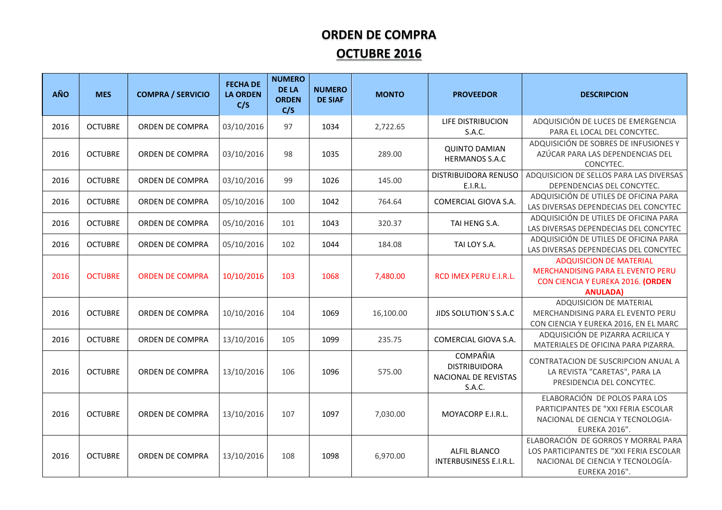## **ORDEN DE COMPRA OCTUBRE 2016**

| <b>AÑO</b> | <b>MES</b>     | <b>COMPRA / SERVICIO</b> | <b>FECHA DE</b><br><b>LA ORDEN</b><br>C/S | <b>NUMERO</b><br><b>DE LA</b><br><b>ORDEN</b><br>C/S | <b>NUMERO</b><br><b>DE SIAF</b> | <b>MONTO</b> | <b>PROVEEDOR</b>                                                   | <b>DESCRIPCION</b>                                                                                                                          |
|------------|----------------|--------------------------|-------------------------------------------|------------------------------------------------------|---------------------------------|--------------|--------------------------------------------------------------------|---------------------------------------------------------------------------------------------------------------------------------------------|
| 2016       | <b>OCTUBRE</b> | <b>ORDEN DE COMPRA</b>   | 03/10/2016                                | 97                                                   | 1034                            | 2,722.65     | LIFE DISTRIBUCION<br>S.A.C.                                        | ADQUISICIÓN DE LUCES DE EMERGENCIA<br>PARA EL LOCAL DEL CONCYTEC.                                                                           |
| 2016       | <b>OCTUBRE</b> | <b>ORDEN DE COMPRA</b>   | 03/10/2016                                | 98                                                   | 1035                            | 289.00       | <b>QUINTO DAMIAN</b><br><b>HERMANOS S.A.C</b>                      | ADQUISICIÓN DE SOBRES DE INFUSIONES Y<br>AZÚCAR PARA LAS DEPENDENCIAS DEL<br>CONCYTEC.                                                      |
| 2016       | <b>OCTUBRE</b> | ORDEN DE COMPRA          | 03/10/2016                                | 99                                                   | 1026                            | 145.00       | <b>DISTRIBUIDORA RENUSO</b><br>E.I.R.L.                            | ADQUISICION DE SELLOS PARA LAS DIVERSAS<br>DEPENDENCIAS DEL CONCYTEC.                                                                       |
| 2016       | <b>OCTUBRE</b> | ORDEN DE COMPRA          | 05/10/2016                                | 100                                                  | 1042                            | 764.64       | COMERCIAL GIOVA S.A.                                               | ADQUISICIÓN DE UTILES DE OFICINA PARA<br>LAS DIVERSAS DEPENDECIAS DEL CONCYTEC                                                              |
| 2016       | <b>OCTUBRE</b> | ORDEN DE COMPRA          | 05/10/2016                                | 101                                                  | 1043                            | 320.37       | TAI HENG S.A.                                                      | ADQUISICIÓN DE UTILES DE OFICINA PARA<br>LAS DIVERSAS DEPENDECIAS DEL CONCYTEC                                                              |
| 2016       | <b>OCTUBRE</b> | ORDEN DE COMPRA          | 05/10/2016                                | 102                                                  | 1044                            | 184.08       | TAI LOY S.A.                                                       | ADQUISICIÓN DE UTILES DE OFICINA PARA<br>LAS DIVERSAS DEPENDECIAS DEL CONCYTEC                                                              |
| 2016       | <b>OCTUBRE</b> | <b>ORDEN DE COMPRA</b>   | 10/10/2016                                | 103                                                  | 1068                            | 7,480.00     | RCD IMEX PERU E.I.R.L.                                             | <b>ADQUISICION DE MATERIAL</b><br>MERCHANDISING PARA EL EVENTO PERU<br>CON CIENCIA Y EUREKA 2016. (ORDEN<br><b>ANULADA)</b>                 |
| 2016       | <b>OCTUBRE</b> | ORDEN DE COMPRA          | 10/10/2016                                | 104                                                  | 1069                            | 16,100.00    | JIDS SOLUTION'S S.A.C                                              | ADQUISICION DE MATERIAL<br>MERCHANDISING PARA EL EVENTO PERU<br>CON CIENCIA Y EUREKA 2016, EN EL MARC                                       |
| 2016       | <b>OCTUBRE</b> | ORDEN DE COMPRA          | 13/10/2016                                | 105                                                  | 1099                            | 235.75       | COMERCIAL GIOVA S.A.                                               | ADQUISICIÓN DE PIZARRA ACRILICA Y<br>MATERIALES DE OFICINA PARA PIZARRA.                                                                    |
| 2016       | <b>OCTUBRE</b> | ORDEN DE COMPRA          | 13/10/2016                                | 106                                                  | 1096                            | 575.00       | COMPAÑIA<br><b>DISTRIBUIDORA</b><br>NACIONAL DE REVISTAS<br>S.A.C. | CONTRATACION DE SUSCRIPCION ANUAL A<br>LA REVISTA "CARETAS", PARA LA<br>PRESIDENCIA DEL CONCYTEC.                                           |
| 2016       | <b>OCTUBRE</b> | ORDEN DE COMPRA          | 13/10/2016                                | 107                                                  | 1097                            | 7,030.00     | MOYACORP E.I.R.L.                                                  | ELABORACIÓN DE POLOS PARA LOS<br>PARTICIPANTES DE "XXI FERIA ESCOLAR<br>NACIONAL DE CIENCIA Y TECNOLOGIA-<br><b>EUREKA 2016".</b>           |
| 2016       | <b>OCTUBRE</b> | ORDEN DE COMPRA          | 13/10/2016                                | 108                                                  | 1098                            | 6,970.00     | <b>ALFIL BLANCO</b><br><b>INTERBUSINESS E.I.R.L.</b>               | ELABORACIÓN DE GORROS Y MORRAL PARA<br>LOS PARTICIPANTES DE "XXI FERIA ESCOLAR<br>NACIONAL DE CIENCIA Y TECNOLOGÍA-<br><b>EUREKA 2016".</b> |